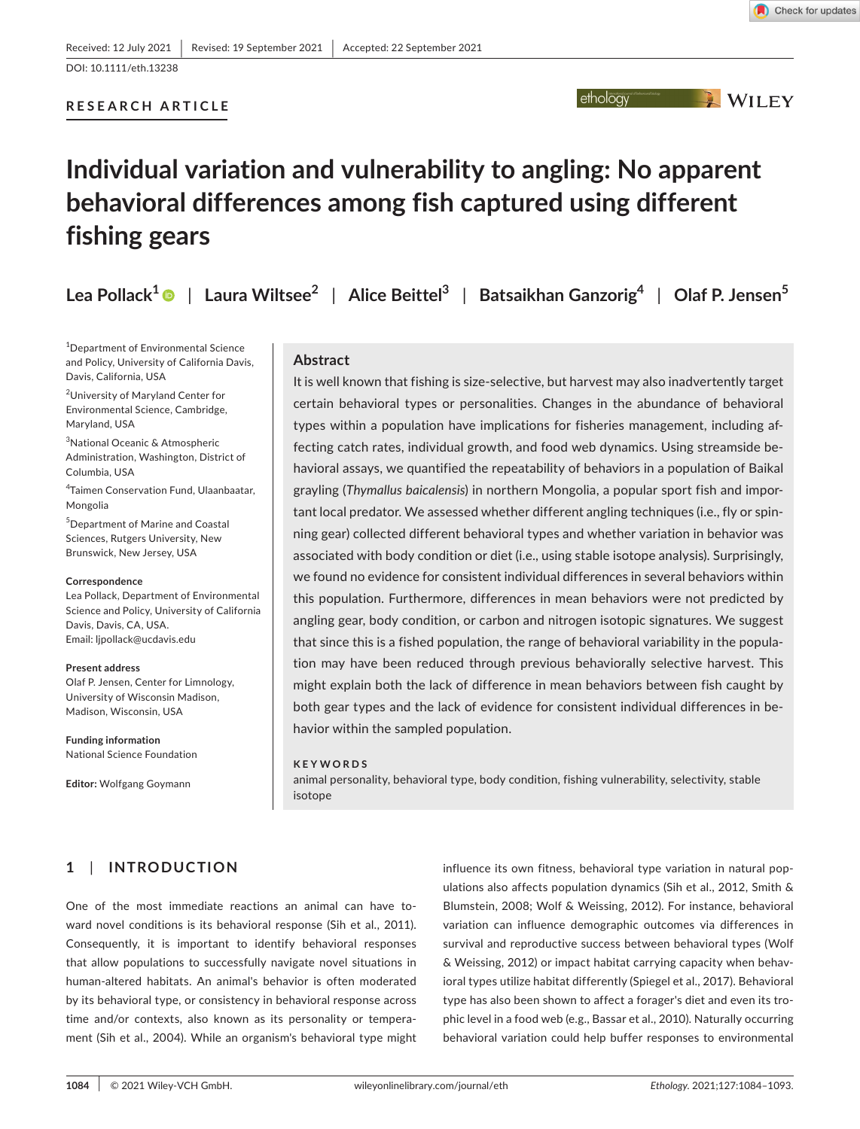ethology WILEY

DOI: 10.1111/eth.13238

## **RESEARCH ARTICLE**

# **Individual variation and vulnerability to angling: No apparent behavioral differences among fish captured using different fishing gears**

**Lea Pollack[1](https://orcid.org/0000-0002-9355-9238)** | **Laura Wiltsee<sup>2</sup>** | **Alice Beittel<sup>3</sup>** | **Batsaikhan Ganzorig<sup>4</sup>** | **Olaf P. Jensen<sup>5</sup>**

1 Department of Environmental Science and Policy, University of California Davis, Davis, California, USA

2 University of Maryland Center for Environmental Science, Cambridge, Maryland, USA

3 National Oceanic & Atmospheric Administration, Washington, District of Columbia, USA

4 Taimen Conservation Fund, Ulaanbaatar, Mongolia

5 Department of Marine and Coastal Sciences, Rutgers University, New Brunswick, New Jersey, USA

#### **Correspondence**

Lea Pollack, Department of Environmental Science and Policy, University of California Davis, Davis, CA, USA. Email: [ljpollack@ucdavis.edu](mailto:ljpollack@ucdavis.edu)

#### **Present address**

Olaf P. Jensen, Center for Limnology, University of Wisconsin Madison, Madison, Wisconsin, USA

**Funding information** National Science Foundation

**Editor:** Wolfgang Goymann

## **Abstract**

It is well known that fishing is size-selective, but harvest may also inadvertently target certain behavioral types or personalities. Changes in the abundance of behavioral types within a population have implications for fisheries management, including affecting catch rates, individual growth, and food web dynamics. Using streamside behavioral assays, we quantified the repeatability of behaviors in a population of Baikal grayling (*Thymallus baicalensis*) in northern Mongolia, a popular sport fish and important local predator. We assessed whether different angling techniques (i.e., fly or spinning gear) collected different behavioral types and whether variation in behavior was associated with body condition or diet (i.e., using stable isotope analysis). Surprisingly, we found no evidence for consistent individual differences in several behaviors within this population. Furthermore, differences in mean behaviors were not predicted by angling gear, body condition, or carbon and nitrogen isotopic signatures. We suggest that since this is a fished population, the range of behavioral variability in the population may have been reduced through previous behaviorally selective harvest. This might explain both the lack of difference in mean behaviors between fish caught by both gear types and the lack of evidence for consistent individual differences in behavior within the sampled population.

#### **KEYWORDS**

animal personality, behavioral type, body condition, fishing vulnerability, selectivity, stable isotope

# **1**  | **INTRODUCTION**

One of the most immediate reactions an animal can have toward novel conditions is its behavioral response (Sih et al., 2011). Consequently, it is important to identify behavioral responses that allow populations to successfully navigate novel situations in human-altered habitats. An animal's behavior is often moderated by its behavioral type, or consistency in behavioral response across time and/or contexts, also known as its personality or temperament (Sih et al., 2004). While an organism's behavioral type might influence its own fitness, behavioral type variation in natural populations also affects population dynamics (Sih et al., 2012, Smith & Blumstein, 2008; Wolf & Weissing, 2012). For instance, behavioral variation can influence demographic outcomes via differences in survival and reproductive success between behavioral types (Wolf & Weissing, 2012) or impact habitat carrying capacity when behavioral types utilize habitat differently (Spiegel et al., 2017). Behavioral type has also been shown to affect a forager's diet and even its trophic level in a food web (e.g., Bassar et al., 2010). Naturally occurring behavioral variation could help buffer responses to environmental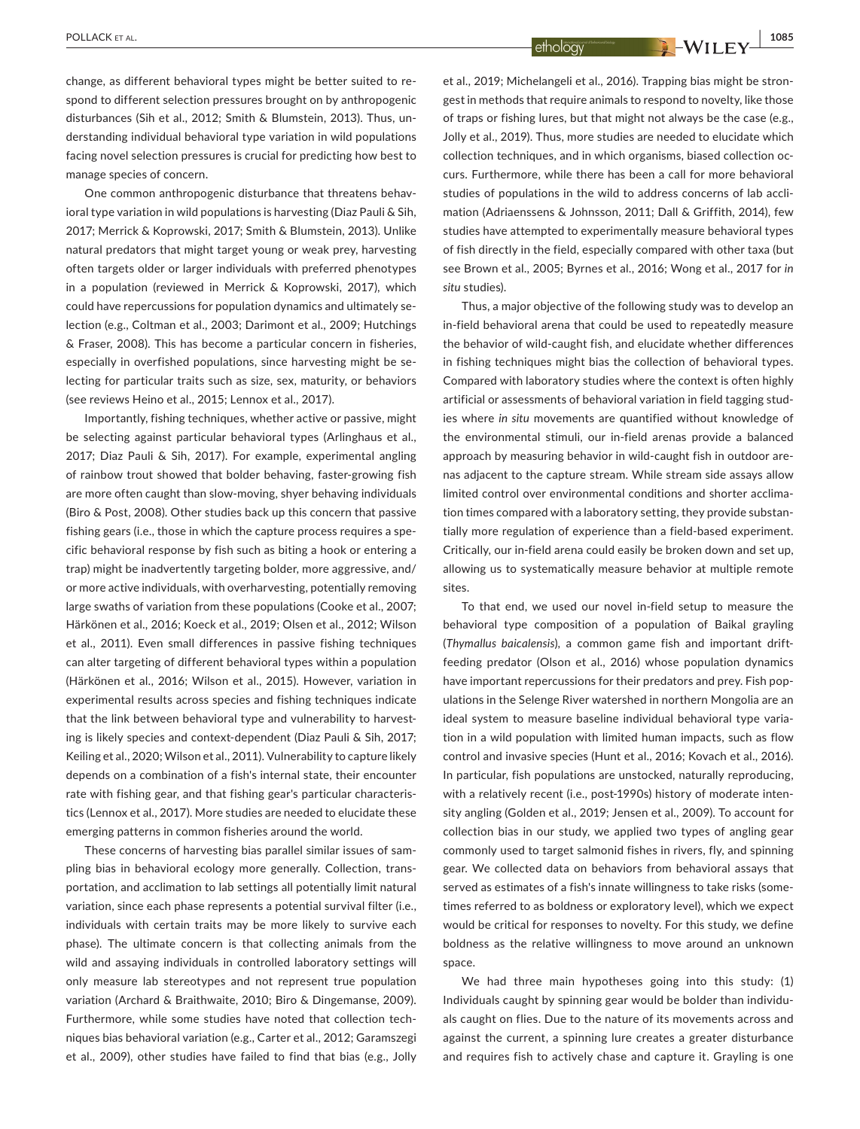change, as different behavioral types might be better suited to respond to different selection pressures brought on by anthropogenic disturbances (Sih et al., 2012; Smith & Blumstein, 2013). Thus, understanding individual behavioral type variation in wild populations facing novel selection pressures is crucial for predicting how best to manage species of concern.

One common anthropogenic disturbance that threatens behavioral type variation in wild populations is harvesting (Diaz Pauli & Sih, 2017; Merrick & Koprowski, 2017; Smith & Blumstein, 2013). Unlike natural predators that might target young or weak prey, harvesting often targets older or larger individuals with preferred phenotypes in a population (reviewed in Merrick & Koprowski, 2017), which could have repercussions for population dynamics and ultimately selection (e.g., Coltman et al., 2003; Darimont et al., 2009; Hutchings & Fraser, 2008). This has become a particular concern in fisheries, especially in overfished populations, since harvesting might be selecting for particular traits such as size, sex, maturity, or behaviors (see reviews Heino et al., 2015; Lennox et al., 2017).

Importantly, fishing techniques, whether active or passive, might be selecting against particular behavioral types (Arlinghaus et al., 2017; Diaz Pauli & Sih, 2017). For example, experimental angling of rainbow trout showed that bolder behaving, faster-growing fish are more often caught than slow-moving, shyer behaving individuals (Biro & Post, 2008). Other studies back up this concern that passive fishing gears (i.e., those in which the capture process requires a specific behavioral response by fish such as biting a hook or entering a trap) might be inadvertently targeting bolder, more aggressive, and/ or more active individuals, with overharvesting, potentially removing large swaths of variation from these populations (Cooke et al., 2007; Härkönen et al., 2016; Koeck et al., 2019; Olsen et al., 2012; Wilson et al., 2011). Even small differences in passive fishing techniques can alter targeting of different behavioral types within a population (Härkönen et al., 2016; Wilson et al., 2015). However, variation in experimental results across species and fishing techniques indicate that the link between behavioral type and vulnerability to harvesting is likely species and context-dependent (Diaz Pauli & Sih, 2017; Keiling et al., 2020; Wilson et al., 2011). Vulnerability to capture likely depends on a combination of a fish's internal state, their encounter rate with fishing gear, and that fishing gear's particular characteristics (Lennox et al., 2017). More studies are needed to elucidate these emerging patterns in common fisheries around the world.

These concerns of harvesting bias parallel similar issues of sampling bias in behavioral ecology more generally. Collection, transportation, and acclimation to lab settings all potentially limit natural variation, since each phase represents a potential survival filter (i.e., individuals with certain traits may be more likely to survive each phase). The ultimate concern is that collecting animals from the wild and assaying individuals in controlled laboratory settings will only measure lab stereotypes and not represent true population variation (Archard & Braithwaite, 2010; Biro & Dingemanse, 2009). Furthermore, while some studies have noted that collection techniques bias behavioral variation (e.g., Carter et al., 2012; Garamszegi et al., 2009), other studies have failed to find that bias (e.g., Jolly

et al., 2019; Michelangeli et al., 2016). Trapping bias might be strongest in methods that require animals to respond to novelty, like those of traps or fishing lures, but that might not always be the case (e.g., Jolly et al., 2019). Thus, more studies are needed to elucidate which collection techniques, and in which organisms, biased collection occurs. Furthermore, while there has been a call for more behavioral studies of populations in the wild to address concerns of lab acclimation (Adriaenssens & Johnsson, 2011; Dall & Griffith, 2014), few studies have attempted to experimentally measure behavioral types of fish directly in the field, especially compared with other taxa (but see Brown et al., 2005; Byrnes et al., 2016; Wong et al., 2017 for *in situ* studies).

Thus, a major objective of the following study was to develop an in-field behavioral arena that could be used to repeatedly measure the behavior of wild-caught fish, and elucidate whether differences in fishing techniques might bias the collection of behavioral types. Compared with laboratory studies where the context is often highly artificial or assessments of behavioral variation in field tagging studies where *in situ* movements are quantified without knowledge of the environmental stimuli, our in-field arenas provide a balanced approach by measuring behavior in wild-caught fish in outdoor arenas adjacent to the capture stream. While stream side assays allow limited control over environmental conditions and shorter acclimation times compared with a laboratory setting, they provide substantially more regulation of experience than a field-based experiment. Critically, our in-field arena could easily be broken down and set up, allowing us to systematically measure behavior at multiple remote sites.

To that end, we used our novel in-field setup to measure the behavioral type composition of a population of Baikal grayling (*Thymallus baicalensis*), a common game fish and important driftfeeding predator (Olson et al., 2016) whose population dynamics have important repercussions for their predators and prey. Fish populations in the Selenge River watershed in northern Mongolia are an ideal system to measure baseline individual behavioral type variation in a wild population with limited human impacts, such as flow control and invasive species (Hunt et al., 2016; Kovach et al., 2016). In particular, fish populations are unstocked, naturally reproducing, with a relatively recent (i.e., post-1990s) history of moderate intensity angling (Golden et al., 2019; Jensen et al., 2009). To account for collection bias in our study, we applied two types of angling gear commonly used to target salmonid fishes in rivers, fly, and spinning gear. We collected data on behaviors from behavioral assays that served as estimates of a fish's innate willingness to take risks (sometimes referred to as boldness or exploratory level), which we expect would be critical for responses to novelty. For this study, we define boldness as the relative willingness to move around an unknown space.

We had three main hypotheses going into this study: (1) Individuals caught by spinning gear would be bolder than individuals caught on flies. Due to the nature of its movements across and against the current, a spinning lure creates a greater disturbance and requires fish to actively chase and capture it. Grayling is one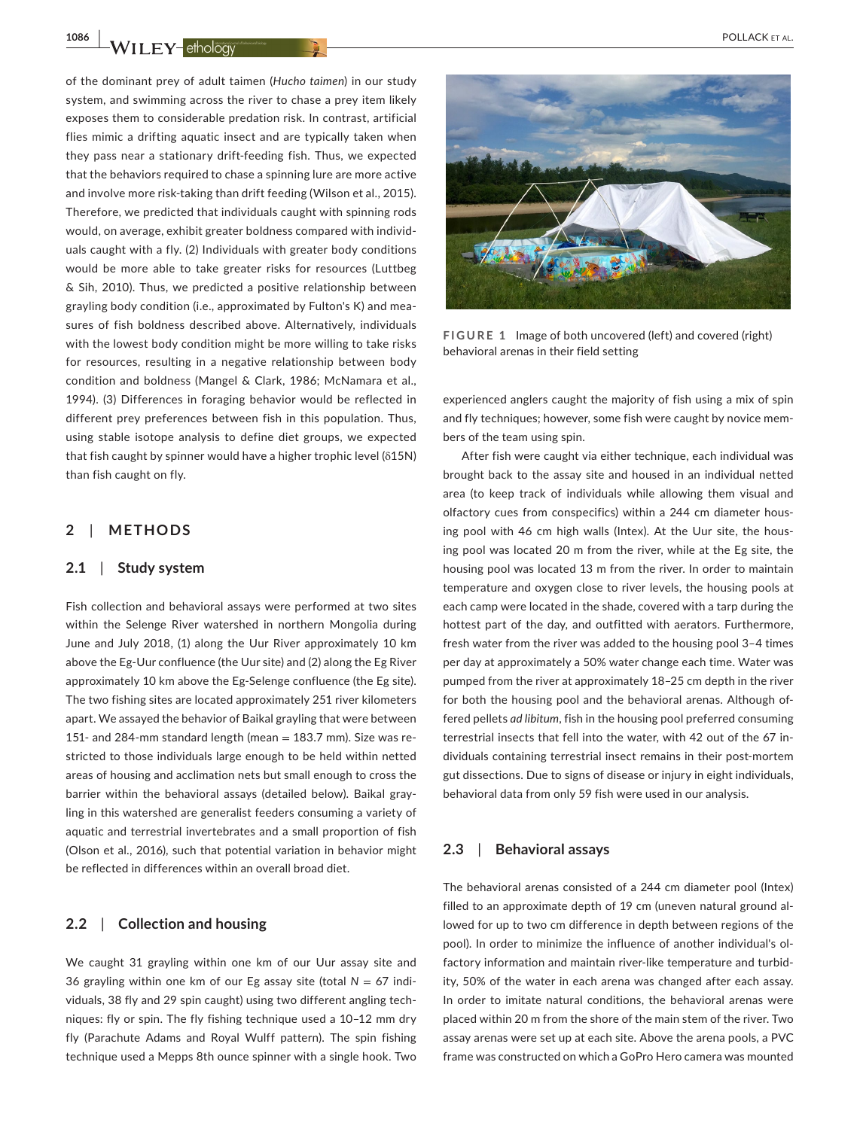of the dominant prey of adult taimen (*Hucho taimen*) in our study system, and swimming across the river to chase a prey item likely exposes them to considerable predation risk. In contrast, artificial flies mimic a drifting aquatic insect and are typically taken when they pass near a stationary drift-feeding fish. Thus, we expected that the behaviors required to chase a spinning lure are more active and involve more risk-taking than drift feeding (Wilson et al., 2015). Therefore, we predicted that individuals caught with spinning rods would, on average, exhibit greater boldness compared with individuals caught with a fly. (2) Individuals with greater body conditions would be more able to take greater risks for resources (Luttbeg & Sih, 2010). Thus, we predicted a positive relationship between grayling body condition (i.e., approximated by Fulton's K) and measures of fish boldness described above. Alternatively, individuals with the lowest body condition might be more willing to take risks for resources, resulting in a negative relationship between body condition and boldness (Mangel & Clark, 1986; McNamara et al., 1994). (3) Differences in foraging behavior would be reflected in different prey preferences between fish in this population. Thus, using stable isotope analysis to define diet groups, we expected that fish caught by spinner would have a higher trophic level (δ15N) than fish caught on fly.

## **2**  | **METHODS**

## **2.1**  | **Study system**

Fish collection and behavioral assays were performed at two sites within the Selenge River watershed in northern Mongolia during June and July 2018, (1) along the Uur River approximately 10 km above the Eg-Uur confluence (the Uur site) and (2) along the Eg River approximately 10 km above the Eg-Selenge confluence (the Eg site). The two fishing sites are located approximately 251 river kilometers apart. We assayed the behavior of Baikal grayling that were between 151- and 284-mm standard length (mean  $=$  183.7 mm). Size was restricted to those individuals large enough to be held within netted areas of housing and acclimation nets but small enough to cross the barrier within the behavioral assays (detailed below). Baikal grayling in this watershed are generalist feeders consuming a variety of aquatic and terrestrial invertebrates and a small proportion of fish (Olson et al., 2016), such that potential variation in behavior might be reflected in differences within an overall broad diet.

## **2.2**  | **Collection and housing**

We caught 31 grayling within one km of our Uur assay site and 36 grayling within one km of our Eg assay site (total  $N = 67$  individuals, 38 fly and 29 spin caught) using two different angling techniques: fly or spin. The fly fishing technique used a 10–12 mm dry fly (Parachute Adams and Royal Wulff pattern). The spin fishing technique used a Mepps 8th ounce spinner with a single hook. Two



**FIGURE 1** Image of both uncovered (left) and covered (right) behavioral arenas in their field setting

experienced anglers caught the majority of fish using a mix of spin and fly techniques; however, some fish were caught by novice members of the team using spin.

After fish were caught via either technique, each individual was brought back to the assay site and housed in an individual netted area (to keep track of individuals while allowing them visual and olfactory cues from conspecifics) within a 244 cm diameter housing pool with 46 cm high walls (Intex). At the Uur site, the housing pool was located 20 m from the river, while at the Eg site, the housing pool was located 13 m from the river. In order to maintain temperature and oxygen close to river levels, the housing pools at each camp were located in the shade, covered with a tarp during the hottest part of the day, and outfitted with aerators. Furthermore, fresh water from the river was added to the housing pool 3–4 times per day at approximately a 50% water change each time. Water was pumped from the river at approximately 18–25 cm depth in the river for both the housing pool and the behavioral arenas. Although offered pellets *ad libitum*, fish in the housing pool preferred consuming terrestrial insects that fell into the water, with 42 out of the 67 individuals containing terrestrial insect remains in their post-mortem gut dissections. Due to signs of disease or injury in eight individuals, behavioral data from only 59 fish were used in our analysis.

#### **2.3**  | **Behavioral assays**

The behavioral arenas consisted of a 244 cm diameter pool (Intex) filled to an approximate depth of 19 cm (uneven natural ground allowed for up to two cm difference in depth between regions of the pool). In order to minimize the influence of another individual's olfactory information and maintain river-like temperature and turbidity, 50% of the water in each arena was changed after each assay. In order to imitate natural conditions, the behavioral arenas were placed within 20 m from the shore of the main stem of the river. Two assay arenas were set up at each site. Above the arena pools, a PVC frame was constructed on which a GoPro Hero camera was mounted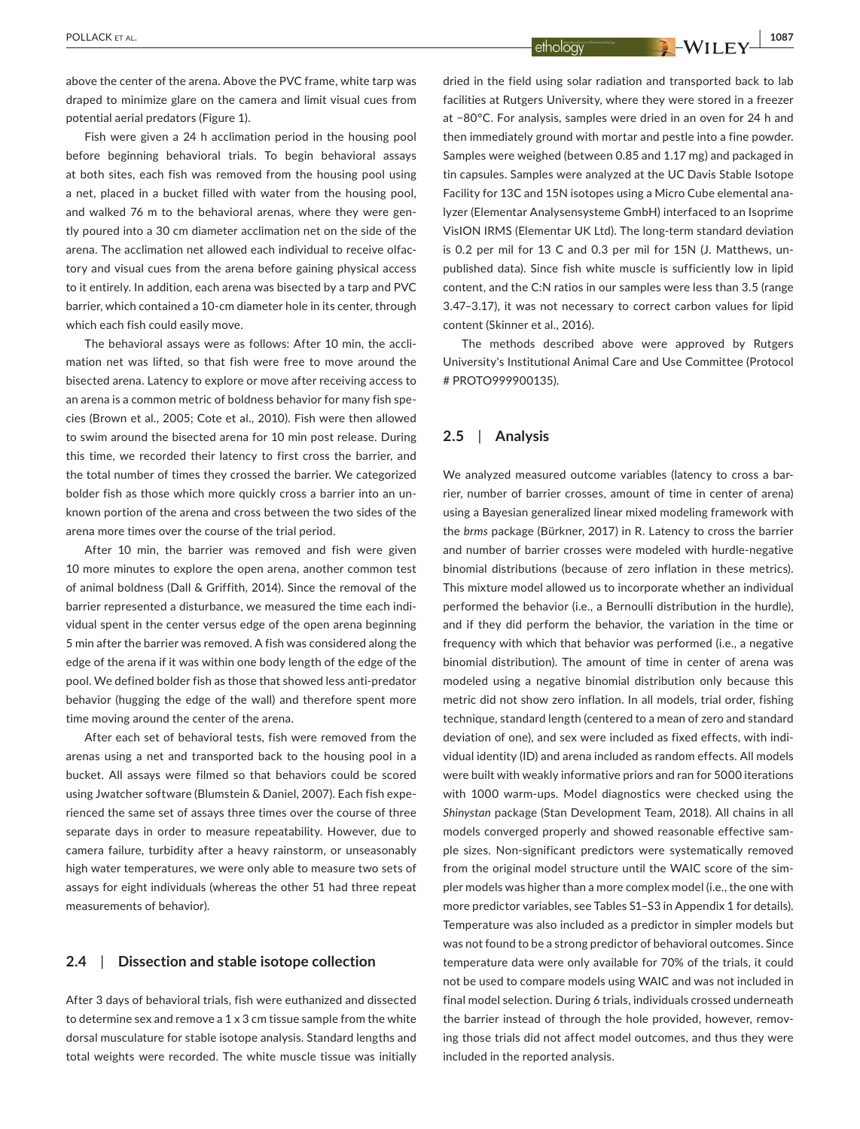above the center of the arena. Above the PVC frame, white tarp was draped to minimize glare on the camera and limit visual cues from potential aerial predators (Figure 1).

Fish were given a 24 h acclimation period in the housing pool before beginning behavioral trials. To begin behavioral assays at both sites, each fish was removed from the housing pool using a net, placed in a bucket filled with water from the housing pool, and walked 76 m to the behavioral arenas, where they were gently poured into a 30 cm diameter acclimation net on the side of the arena. The acclimation net allowed each individual to receive olfactory and visual cues from the arena before gaining physical access to it entirely. In addition, each arena was bisected by a tarp and PVC barrier, which contained a 10-cm diameter hole in its center, through which each fish could easily move.

The behavioral assays were as follows: After 10 min, the acclimation net was lifted, so that fish were free to move around the bisected arena. Latency to explore or move after receiving access to an arena is a common metric of boldness behavior for many fish species (Brown et al., 2005; Cote et al., 2010). Fish were then allowed to swim around the bisected arena for 10 min post release. During this time, we recorded their latency to first cross the barrier, and the total number of times they crossed the barrier. We categorized bolder fish as those which more quickly cross a barrier into an unknown portion of the arena and cross between the two sides of the arena more times over the course of the trial period.

After 10 min, the barrier was removed and fish were given 10 more minutes to explore the open arena, another common test of animal boldness (Dall & Griffith, 2014). Since the removal of the barrier represented a disturbance, we measured the time each individual spent in the center versus edge of the open arena beginning 5 min after the barrier was removed. A fish was considered along the edge of the arena if it was within one body length of the edge of the pool. We defined bolder fish as those that showed less anti-predator behavior (hugging the edge of the wall) and therefore spent more time moving around the center of the arena.

After each set of behavioral tests, fish were removed from the arenas using a net and transported back to the housing pool in a bucket. All assays were filmed so that behaviors could be scored using Jwatcher software (Blumstein & Daniel, 2007). Each fish experienced the same set of assays three times over the course of three separate days in order to measure repeatability. However, due to camera failure, turbidity after a heavy rainstorm, or unseasonably high water temperatures, we were only able to measure two sets of assays for eight individuals (whereas the other 51 had three repeat measurements of behavior).

## **2.4**  | **Dissection and stable isotope collection**

After 3 days of behavioral trials, fish were euthanized and dissected to determine sex and remove a 1 x 3 cm tissue sample from the white dorsal musculature for stable isotope analysis. Standard lengths and total weights were recorded. The white muscle tissue was initially

dried in the field using solar radiation and transported back to lab facilities at Rutgers University, where they were stored in a freezer at −80°C. For analysis, samples were dried in an oven for 24 h and then immediately ground with mortar and pestle into a fine powder. Samples were weighed (between 0.85 and 1.17 mg) and packaged in tin capsules. Samples were analyzed at the UC Davis Stable Isotope Facility for 13C and 15N isotopes using a Micro Cube elemental analyzer (Elementar Analysensysteme GmbH) interfaced to an Isoprime VisION IRMS (Elementar UK Ltd). The long-term standard deviation is 0.2 per mil for 13 C and 0.3 per mil for 15N (J. Matthews, unpublished data). Since fish white muscle is sufficiently low in lipid content, and the C:N ratios in our samples were less than 3.5 (range 3.47–3.17), it was not necessary to correct carbon values for lipid content (Skinner et al., 2016).

The methods described above were approved by Rutgers University's Institutional Animal Care and Use Committee (Protocol # PROTO999900135).

## **2.5**  | **Analysis**

We analyzed measured outcome variables (latency to cross a barrier, number of barrier crosses, amount of time in center of arena) using a Bayesian generalized linear mixed modeling framework with the *brms* package (Bürkner, 2017) in R. Latency to cross the barrier and number of barrier crosses were modeled with hurdle-negative binomial distributions (because of zero inflation in these metrics). This mixture model allowed us to incorporate whether an individual performed the behavior (i.e., a Bernoulli distribution in the hurdle), and if they did perform the behavior, the variation in the time or frequency with which that behavior was performed (i.e., a negative binomial distribution). The amount of time in center of arena was modeled using a negative binomial distribution only because this metric did not show zero inflation. In all models, trial order, fishing technique, standard length (centered to a mean of zero and standard deviation of one), and sex were included as fixed effects, with individual identity (ID) and arena included as random effects. All models were built with weakly informative priors and ran for 5000 iterations with 1000 warm-ups. Model diagnostics were checked using the *Shinystan* package (Stan Development Team, 2018). All chains in all models converged properly and showed reasonable effective sample sizes. Non-significant predictors were systematically removed from the original model structure until the WAIC score of the simpler models was higher than a more complex model (i.e., the one with more predictor variables, see Tables S1–S3 in Appendix 1 for details). Temperature was also included as a predictor in simpler models but was not found to be a strong predictor of behavioral outcomes. Since temperature data were only available for 70% of the trials, it could not be used to compare models using WAIC and was not included in final model selection. During 6 trials, individuals crossed underneath the barrier instead of through the hole provided, however, removing those trials did not affect model outcomes, and thus they were included in the reported analysis.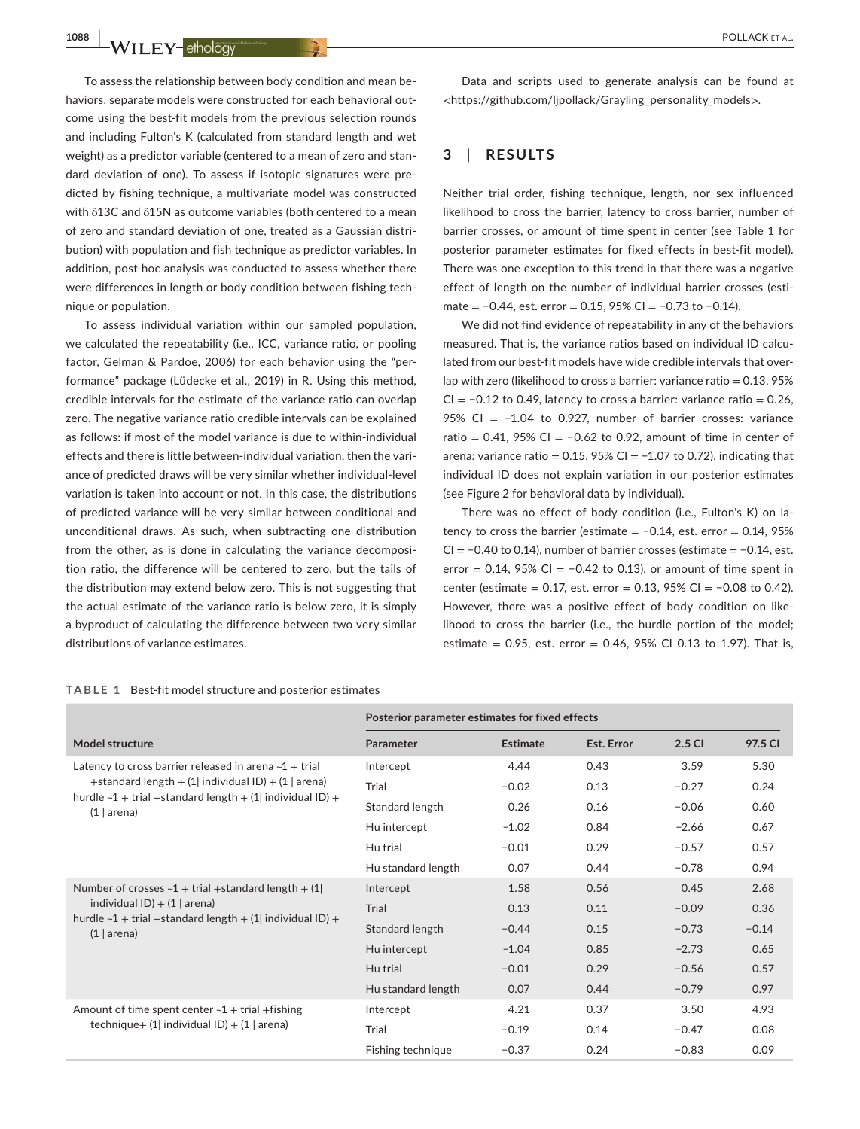To assess the relationship between body condition and mean behaviors, separate models were constructed for each behavioral outcome using the best-fit models from the previous selection rounds and including Fulton's K (calculated from standard length and wet weight) as a predictor variable (centered to a mean of zero and standard deviation of one). To assess if isotopic signatures were predicted by fishing technique, a multivariate model was constructed with δ13C and δ15N as outcome variables (both centered to a mean of zero and standard deviation of one, treated as a Gaussian distribution) with population and fish technique as predictor variables. In addition, post-hoc analysis was conducted to assess whether there were differences in length or body condition between fishing technique or population.

To assess individual variation within our sampled population, we calculated the repeatability (i.e., ICC, variance ratio, or pooling factor, Gelman & Pardoe, 2006) for each behavior using the "performance" package (Lüdecke et al., 2019) in R. Using this method, credible intervals for the estimate of the variance ratio can overlap zero. The negative variance ratio credible intervals can be explained as follows: if most of the model variance is due to within-individual effects and there is little between-individual variation, then the variance of predicted draws will be very similar whether individual-level variation is taken into account or not. In this case, the distributions of predicted variance will be very similar between conditional and unconditional draws. As such, when subtracting one distribution from the other, as is done in calculating the variance decomposition ratio, the difference will be centered to zero, but the tails of the distribution may extend below zero. This is not suggesting that the actual estimate of the variance ratio is below zero, it is simply a byproduct of calculating the difference between two very similar distributions of variance estimates.

#### **TABLE 1** Best-fit model structure and posterior estimates

Data and scripts used to generate analysis can be found at <[https://github.com/ljpollack/Grayling\\_personality\\_models](https://github.com/ljpollack/Grayling_personality_models)>.

## **3**  | **RESULTS**

Neither trial order, fishing technique, length, nor sex influenced likelihood to cross the barrier, latency to cross barrier, number of barrier crosses, or amount of time spent in center (see Table 1 for posterior parameter estimates for fixed effects in best-fit model). There was one exception to this trend in that there was a negative effect of length on the number of individual barrier crosses (estimate = −0.44, est. error = 0.15, 95% CI = −0.73 to −0.14).

We did not find evidence of repeatability in any of the behaviors measured. That is, the variance ratios based on individual ID calculated from our best-fit models have wide credible intervals that overlap with zero (likelihood to cross a barrier: variance ratio =  $0.13, 95\%$ CI =  $-0.12$  to 0.49, latency to cross a barrier: variance ratio = 0.26, 95% CI = −1.04 to 0.927, number of barrier crosses: variance ratio =  $0.41$ , 95% CI =  $-0.62$  to 0.92, amount of time in center of arena: variance ratio =  $0.15$ , 95% CI =  $-1.07$  to 0.72), indicating that individual ID does not explain variation in our posterior estimates (see Figure 2 for behavioral data by individual).

There was no effect of body condition (i.e., Fulton's K) on latency to cross the barrier (estimate =  $-0.14$ , est. error = 0.14, 95% CI = −0.40 to 0.14), number of barrier crosses (estimate = −0.14, est. error = 0.14, 95% CI =  $-0.42$  to 0.13), or amount of time spent in center (estimate = 0.17, est. error = 0.13, 95% CI = −0.08 to 0.42). However, there was a positive effect of body condition on likelihood to cross the barrier (i.e., the hurdle portion of the model; estimate =  $0.95$ , est. error =  $0.46$ ,  $95\%$  CI 0.13 to 1.97). That is,

|                                                                                                                                                                                                              | Posterior parameter estimates for fixed effects |          |            |         |         |
|--------------------------------------------------------------------------------------------------------------------------------------------------------------------------------------------------------------|-------------------------------------------------|----------|------------|---------|---------|
| Model structure                                                                                                                                                                                              | Parameter                                       | Estimate | Est. Error | 2.5 CI  | 97.5 CI |
| Latency to cross barrier released in arena $-1$ + trial<br>+standard length + $(1)$ individual ID) + $(1)$ arena)<br>hurdle $\sim$ 1 + trial +standard length + (1) individual ID) +<br>$(1   \text{arena})$ | Intercept                                       | 4.44     | 0.43       | 3.59    | 5.30    |
|                                                                                                                                                                                                              | Trial                                           | $-0.02$  | 0.13       | $-0.27$ | 0.24    |
|                                                                                                                                                                                                              | Standard length                                 | 0.26     | 0.16       | $-0.06$ | 0.60    |
|                                                                                                                                                                                                              | Hu intercept                                    | $-1.02$  | 0.84       | $-2.66$ | 0.67    |
|                                                                                                                                                                                                              | Hu trial                                        | $-0.01$  | 0.29       | $-0.57$ | 0.57    |
|                                                                                                                                                                                                              | Hu standard length                              | 0.07     | 0.44       | $-0.78$ | 0.94    |
| Number of crosses $-1$ + trial +standard length + (1)<br>individual $ID$ ) + (1   arena)<br>hurdle $\sim$ 1 + trial +standard length + (1  individual ID) +<br>$(1   \text{arena})$                          | Intercept                                       | 1.58     | 0.56       | 0.45    | 2.68    |
|                                                                                                                                                                                                              | <b>Trial</b>                                    | 0.13     | 0.11       | $-0.09$ | 0.36    |
|                                                                                                                                                                                                              | Standard length                                 | $-0.44$  | 0.15       | $-0.73$ | $-0.14$ |
|                                                                                                                                                                                                              | Hu intercept                                    | $-1.04$  | 0.85       | $-2.73$ | 0.65    |
|                                                                                                                                                                                                              | Hu trial                                        | $-0.01$  | 0.29       | $-0.56$ | 0.57    |
|                                                                                                                                                                                                              | Hu standard length                              | 0.07     | 0.44       | $-0.79$ | 0.97    |
| Amount of time spent center $\sim$ 1 + trial + fishing<br>technique + $(1)$ individual ID) + $(1)$ arena)                                                                                                    | Intercept                                       | 4.21     | 0.37       | 3.50    | 4.93    |
|                                                                                                                                                                                                              | Trial                                           | $-0.19$  | 0.14       | $-0.47$ | 0.08    |
|                                                                                                                                                                                                              | Fishing technique                               | $-0.37$  | 0.24       | $-0.83$ | 0.09    |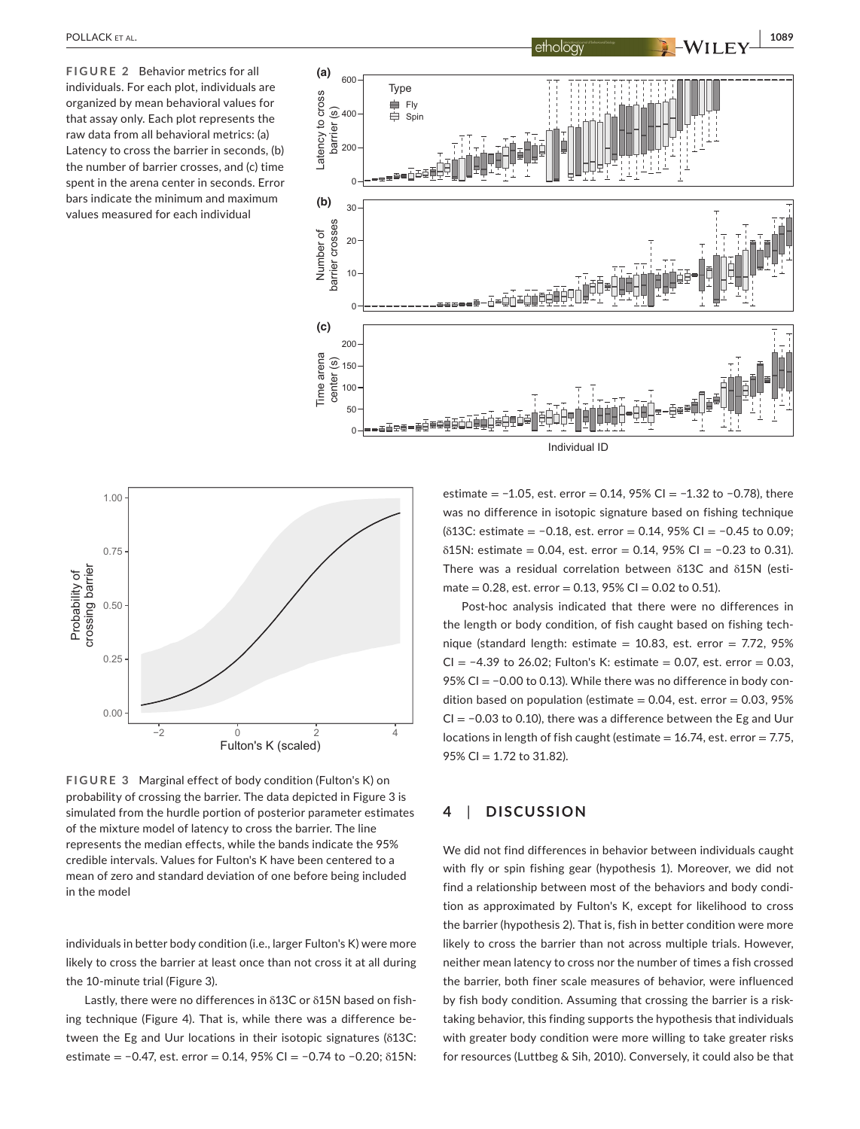**FIGURE 2** Behavior metrics for all individuals. For each plot, individuals are organized by mean behavioral values for that assay only. Each plot represents the raw data from all behavioral metrics: (a) Latency to cross the barrier in seconds, (b) the number of barrier crosses, and (c) time spent in the arena center in seconds. Error bars indicate the minimum and maximum values measured for each individual





**FIGURE 3** Marginal effect of body condition (Fulton's K) on probability of crossing the barrier. The data depicted in Figure 3 is simulated from the hurdle portion of posterior parameter estimates of the mixture model of latency to cross the barrier. The line represents the median effects, while the bands indicate the 95% credible intervals. Values for Fulton's K have been centered to a mean of zero and standard deviation of one before being included in the model

individuals in better body condition (i.e., larger Fulton's K) were more likely to cross the barrier at least once than not cross it at all during the 10-minute trial (Figure 3).

Lastly, there were no differences in δ13C or δ15N based on fishing technique (Figure 4). That is, while there was a difference between the Eg and Uur locations in their isotopic signatures (δ13C: estimate = −0.47, est. error = 0.14, 95% CI = −0.74 to −0.20; δ15N:

estimate = −1.05, est. error = 0.14, 95% CI = −1.32 to −0.78), there was no difference in isotopic signature based on fishing technique (δ13C: estimate = −0.18, est. error = 0.14, 95% CI = −0.45 to 0.09; δ15N: estimate = 0.04, est. error = 0.14, 95% CI = −0.23 to 0.31). There was a residual correlation between δ13C and δ15N (estimate =  $0.28$ , est. error =  $0.13$ ,  $95\%$  CI =  $0.02$  to  $0.51$ ).

Post-hoc analysis indicated that there were no differences in the length or body condition, of fish caught based on fishing technique (standard length: estimate =  $10.83$ , est. error = 7.72, 95% CI = −4.39 to 26.02; Fulton's K: estimate = 0.07, est. error = 0.03, 95% CI = −0.00 to 0.13). While there was no difference in body condition based on population (estimate  $= 0.04$ , est. error  $= 0.03, 95\%$ CI = −0.03 to 0.10), there was a difference between the Eg and Uur locations in length of fish caught (estimate  $= 16.74$ , est. error  $= 7.75$ , 95% CI =  $1.72$  to 31.82).

## **4**  | **DISCUSSION**

We did not find differences in behavior between individuals caught with fly or spin fishing gear (hypothesis 1). Moreover, we did not find a relationship between most of the behaviors and body condition as approximated by Fulton's K, except for likelihood to cross the barrier (hypothesis 2). That is, fish in better condition were more likely to cross the barrier than not across multiple trials. However, neither mean latency to cross nor the number of times a fish crossed the barrier, both finer scale measures of behavior, were influenced by fish body condition. Assuming that crossing the barrier is a risktaking behavior, this finding supports the hypothesis that individuals with greater body condition were more willing to take greater risks for resources (Luttbeg & Sih, 2010). Conversely, it could also be that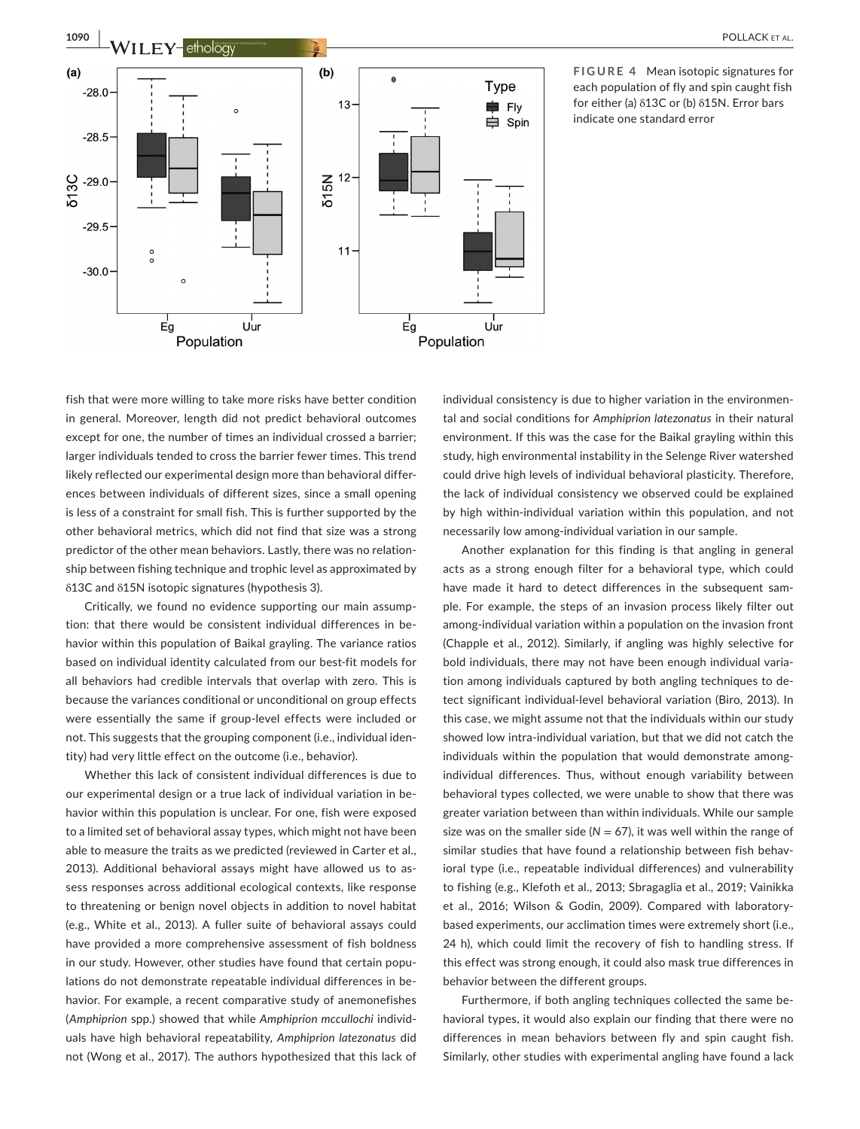

**FIGURE 4** Mean isotopic signatures for each population of fly and spin caught fish for either (a) δ13C or (b) δ15N. Error bars indicate one standard error

fish that were more willing to take more risks have better condition in general. Moreover, length did not predict behavioral outcomes except for one, the number of times an individual crossed a barrier; larger individuals tended to cross the barrier fewer times. This trend likely reflected our experimental design more than behavioral differences between individuals of different sizes, since a small opening is less of a constraint for small fish. This is further supported by the other behavioral metrics, which did not find that size was a strong predictor of the other mean behaviors. Lastly, there was no relationship between fishing technique and trophic level as approximated by δ13C and δ15N isotopic signatures (hypothesis 3).

Critically, we found no evidence supporting our main assumption: that there would be consistent individual differences in behavior within this population of Baikal grayling. The variance ratios based on individual identity calculated from our best-fit models for all behaviors had credible intervals that overlap with zero. This is because the variances conditional or unconditional on group effects were essentially the same if group-level effects were included or not. This suggests that the grouping component (i.e., individual identity) had very little effect on the outcome (i.e., behavior).

Whether this lack of consistent individual differences is due to our experimental design or a true lack of individual variation in behavior within this population is unclear. For one, fish were exposed to a limited set of behavioral assay types, which might not have been able to measure the traits as we predicted (reviewed in Carter et al., 2013). Additional behavioral assays might have allowed us to assess responses across additional ecological contexts, like response to threatening or benign novel objects in addition to novel habitat (e.g., White et al., 2013). A fuller suite of behavioral assays could have provided a more comprehensive assessment of fish boldness in our study. However, other studies have found that certain populations do not demonstrate repeatable individual differences in behavior. For example, a recent comparative study of anemonefishes (*Amphiprion* spp.) showed that while *Amphiprion mccullochi* individuals have high behavioral repeatability, *Amphiprion latezonatus* did not (Wong et al., 2017). The authors hypothesized that this lack of

individual consistency is due to higher variation in the environmental and social conditions for *Amphiprion latezonatus* in their natural environment. If this was the case for the Baikal grayling within this study, high environmental instability in the Selenge River watershed could drive high levels of individual behavioral plasticity. Therefore, the lack of individual consistency we observed could be explained by high within-individual variation within this population, and not necessarily low among-individual variation in our sample.

Another explanation for this finding is that angling in general acts as a strong enough filter for a behavioral type, which could have made it hard to detect differences in the subsequent sample. For example, the steps of an invasion process likely filter out among-individual variation within a population on the invasion front (Chapple et al., 2012). Similarly, if angling was highly selective for bold individuals, there may not have been enough individual variation among individuals captured by both angling techniques to detect significant individual-level behavioral variation (Biro, 2013). In this case, we might assume not that the individuals within our study showed low intra-individual variation, but that we did not catch the individuals within the population that would demonstrate amongindividual differences. Thus, without enough variability between behavioral types collected, we were unable to show that there was greater variation between than within individuals. While our sample size was on the smaller side ( $N = 67$ ), it was well within the range of similar studies that have found a relationship between fish behavioral type (i.e., repeatable individual differences) and vulnerability to fishing (e.g., Klefoth et al., 2013; Sbragaglia et al., 2019; Vainikka et al., 2016; Wilson & Godin, 2009). Compared with laboratorybased experiments, our acclimation times were extremely short (i.e., 24 h), which could limit the recovery of fish to handling stress. If this effect was strong enough, it could also mask true differences in behavior between the different groups.

Furthermore, if both angling techniques collected the same behavioral types, it would also explain our finding that there were no differences in mean behaviors between fly and spin caught fish. Similarly, other studies with experimental angling have found a lack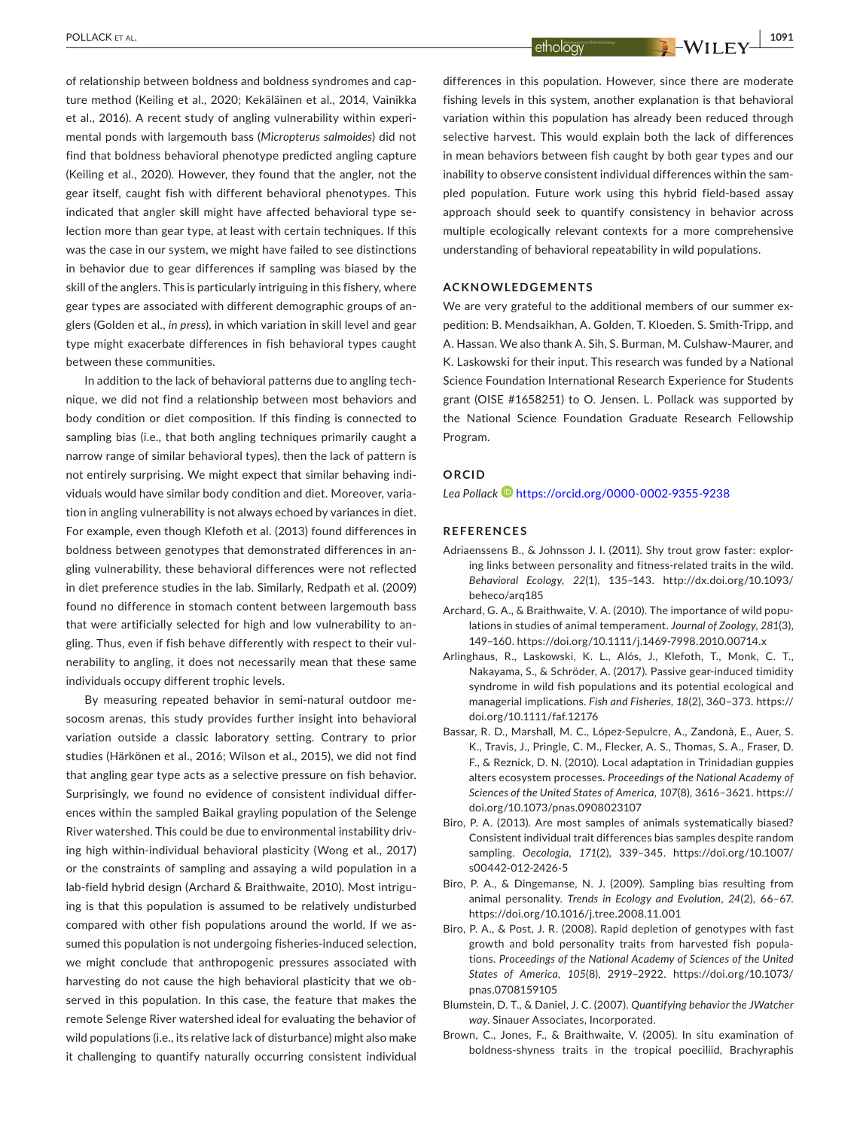of relationship between boldness and boldness syndromes and capture method (Keiling et al., 2020; Kekäläinen et al., 2014, Vainikka et al., 2016). A recent study of angling vulnerability within experimental ponds with largemouth bass (*Micropterus salmoides*) did not find that boldness behavioral phenotype predicted angling capture (Keiling et al., 2020). However, they found that the angler, not the gear itself, caught fish with different behavioral phenotypes. This indicated that angler skill might have affected behavioral type selection more than gear type, at least with certain techniques. If this was the case in our system, we might have failed to see distinctions in behavior due to gear differences if sampling was biased by the skill of the anglers. This is particularly intriguing in this fishery, where gear types are associated with different demographic groups of anglers (Golden et al., *in press*), in which variation in skill level and gear type might exacerbate differences in fish behavioral types caught between these communities.

In addition to the lack of behavioral patterns due to angling technique, we did not find a relationship between most behaviors and body condition or diet composition. If this finding is connected to sampling bias (i.e., that both angling techniques primarily caught a narrow range of similar behavioral types), then the lack of pattern is not entirely surprising. We might expect that similar behaving individuals would have similar body condition and diet. Moreover, variation in angling vulnerability is not always echoed by variances in diet. For example, even though Klefoth et al. (2013) found differences in boldness between genotypes that demonstrated differences in angling vulnerability, these behavioral differences were not reflected in diet preference studies in the lab. Similarly, Redpath et al. (2009) found no difference in stomach content between largemouth bass that were artificially selected for high and low vulnerability to angling. Thus, even if fish behave differently with respect to their vulnerability to angling, it does not necessarily mean that these same individuals occupy different trophic levels.

By measuring repeated behavior in semi-natural outdoor mesocosm arenas, this study provides further insight into behavioral variation outside a classic laboratory setting. Contrary to prior studies (Härkönen et al., 2016; Wilson et al., 2015), we did not find that angling gear type acts as a selective pressure on fish behavior. Surprisingly, we found no evidence of consistent individual differences within the sampled Baikal grayling population of the Selenge River watershed. This could be due to environmental instability driving high within-individual behavioral plasticity (Wong et al., 2017) or the constraints of sampling and assaying a wild population in a lab-field hybrid design (Archard & Braithwaite, 2010). Most intriguing is that this population is assumed to be relatively undisturbed compared with other fish populations around the world. If we assumed this population is not undergoing fisheries-induced selection, we might conclude that anthropogenic pressures associated with harvesting do not cause the high behavioral plasticity that we observed in this population. In this case, the feature that makes the remote Selenge River watershed ideal for evaluating the behavior of wild populations (i.e., its relative lack of disturbance) might also make it challenging to quantify naturally occurring consistent individual

differences in this population. However, since there are moderate fishing levels in this system, another explanation is that behavioral variation within this population has already been reduced through selective harvest. This would explain both the lack of differences in mean behaviors between fish caught by both gear types and our inability to observe consistent individual differences within the sampled population. Future work using this hybrid field-based assay approach should seek to quantify consistency in behavior across multiple ecologically relevant contexts for a more comprehensive understanding of behavioral repeatability in wild populations.

#### **ACKNOWLEDGEMENTS**

We are very grateful to the additional members of our summer expedition: B. Mendsaikhan, A. Golden, T. Kloeden, S. Smith-Tripp, and A. Hassan. We also thank A. Sih, S. Burman, M. Culshaw-Maurer, and K. Laskowski for their input. This research was funded by a National Science Foundation International Research Experience for Students grant (OISE #1658251) to O. Jensen. L. Pollack was supported by the National Science Foundation Graduate Research Fellowship Program.

### **ORCID**

Lea Pollack<sup> 1</sup><https://orcid.org/0000-0002-9355-9238>

#### **REFERENCES**

- Adriaenssens B., & Johnsson J. I. (2011). Shy trout grow faster: exploring links between personality and fitness-related traits in the wild. *Behavioral Ecology*, *22*(1), 135–143. [http://dx.doi.org/10.1093/](http://dx.doi.org/10.1093/beheco/arq185) [beheco/arq185](http://dx.doi.org/10.1093/beheco/arq185)
- Archard, G. A., & Braithwaite, V. A. (2010). The importance of wild populations in studies of animal temperament. *Journal of Zoology*, *281*(3), 149–160.<https://doi.org/10.1111/j.1469-7998.2010.00714.x>
- Arlinghaus, R., Laskowski, K. L., Alós, J., Klefoth, T., Monk, C. T., Nakayama, S., & Schröder, A. (2017). Passive gear-induced timidity syndrome in wild fish populations and its potential ecological and managerial implications. *Fish and Fisheries*, *18*(2), 360–373. [https://](https://doi.org/10.1111/faf.12176) [doi.org/10.1111/faf.12176](https://doi.org/10.1111/faf.12176)
- Bassar, R. D., Marshall, M. C., López-Sepulcre, A., Zandonà, E., Auer, S. K., Travis, J., Pringle, C. M., Flecker, A. S., Thomas, S. A., Fraser, D. F., & Reznick, D. N. (2010). Local adaptation in Trinidadian guppies alters ecosystem processes. *Proceedings of the National Academy of Sciences of the United States of America*, *107*(8), 3616–3621. [https://](https://doi.org/10.1073/pnas.0908023107) [doi.org/10.1073/pnas.0908023107](https://doi.org/10.1073/pnas.0908023107)
- Biro, P. A. (2013). Are most samples of animals systematically biased? Consistent individual trait differences bias samples despite random sampling. *Oecologia*, *171*(2), 339–345. [https://doi.org/10.1007/](https://doi.org/10.1007/s00442-012-2426-5) [s00442-012-2426-5](https://doi.org/10.1007/s00442-012-2426-5)
- Biro, P. A., & Dingemanse, N. J. (2009). Sampling bias resulting from animal personality. *Trends in Ecology and Evolution*, *24*(2), 66–67. <https://doi.org/10.1016/j.tree.2008.11.001>
- Biro, P. A., & Post, J. R. (2008). Rapid depletion of genotypes with fast growth and bold personality traits from harvested fish populations. *Proceedings of the National Academy of Sciences of the United States of America*, *105*(8), 2919–2922. [https://doi.org/10.1073/](https://doi.org/10.1073/pnas.0708159105) [pnas.0708159105](https://doi.org/10.1073/pnas.0708159105)
- Blumstein, D. T., & Daniel, J. C. (2007). *Quantifying behavior the JWatcher way*. Sinauer Associates, Incorporated.
- Brown, C., Jones, F., & Braithwaite, V. (2005). In situ examination of boldness-shyness traits in the tropical poeciliid, Brachyraphis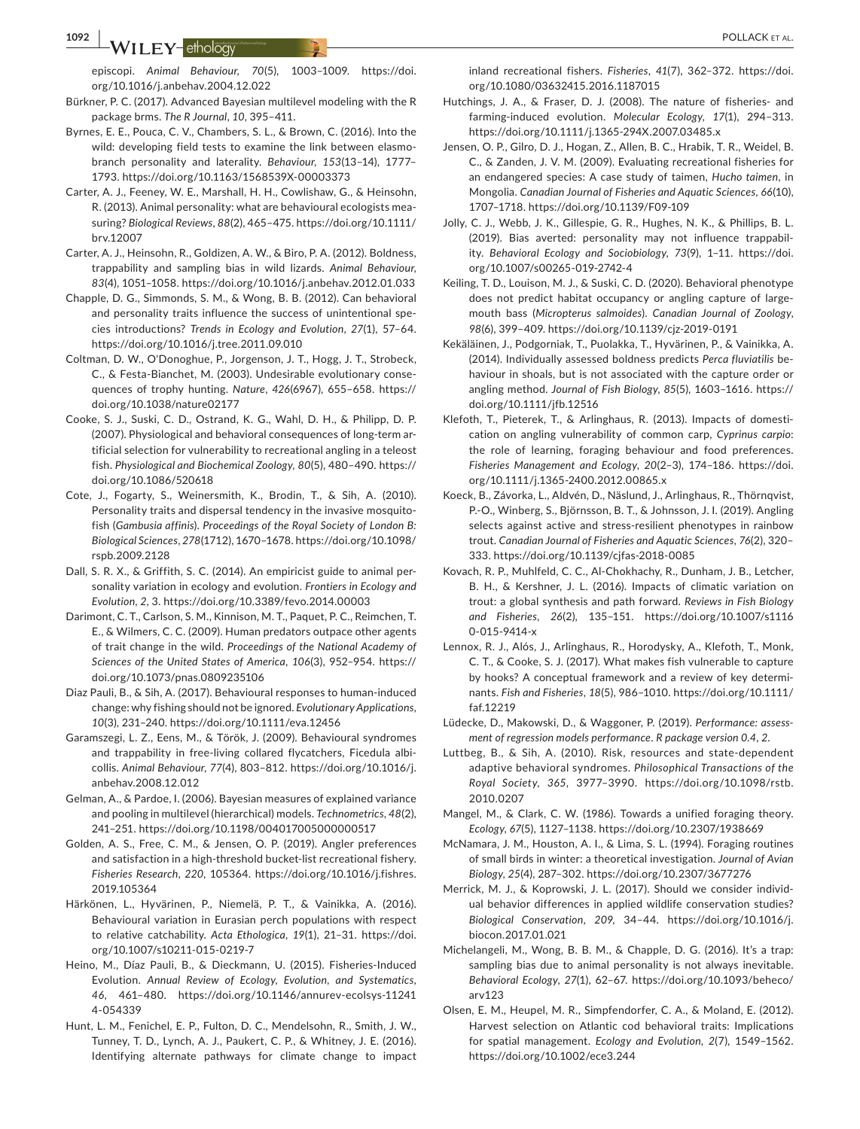episcopi. *Animal Behaviour*, *70*(5), 1003–1009. [https://doi.](https://doi.org/10.1016/j.anbehav.2004.12.022) [org/10.1016/j.anbehav.2004.12.022](https://doi.org/10.1016/j.anbehav.2004.12.022)

- Bürkner, P. C. (2017). Advanced Bayesian multilevel modeling with the R package brms. *The R Journal*, *10*, 395–411.
- Byrnes, E. E., Pouca, C. V., Chambers, S. L., & Brown, C. (2016). Into the wild: developing field tests to examine the link between elasmobranch personality and laterality. *Behaviour*, *153*(13–14), 1777– 1793. <https://doi.org/10.1163/1568539X-00003373>
- Carter, A. J., Feeney, W. E., Marshall, H. H., Cowlishaw, G., & Heinsohn, R. (2013). Animal personality: what are behavioural ecologists measuring? *Biological Reviews*, *88*(2), 465–475. [https://doi.org/10.1111/](https://doi.org/10.1111/brv.12007) [brv.12007](https://doi.org/10.1111/brv.12007)
- Carter, A. J., Heinsohn, R., Goldizen, A. W., & Biro, P. A. (2012). Boldness, trappability and sampling bias in wild lizards. *Animal Behaviour*, *83*(4), 1051–1058.<https://doi.org/10.1016/j.anbehav.2012.01.033>
- Chapple, D. G., Simmonds, S. M., & Wong, B. B. (2012). Can behavioral and personality traits influence the success of unintentional species introductions? *Trends in Ecology and Evolution*, *27*(1), 57–64. <https://doi.org/10.1016/j.tree.2011.09.010>
- Coltman, D. W., O'Donoghue, P., Jorgenson, J. T., Hogg, J. T., Strobeck, C., & Festa-Bianchet, M. (2003). Undesirable evolutionary consequences of trophy hunting. *Nature*, *426*(6967), 655–658. [https://](https://doi.org/10.1038/nature02177) [doi.org/10.1038/nature02177](https://doi.org/10.1038/nature02177)
- Cooke, S. J., Suski, C. D., Ostrand, K. G., Wahl, D. H., & Philipp, D. P. (2007). Physiological and behavioral consequences of long-term artificial selection for vulnerability to recreational angling in a teleost fish. *Physiological and Biochemical Zoology*, *80*(5), 480–490. [https://](https://doi.org/10.1086/520618) [doi.org/10.1086/520618](https://doi.org/10.1086/520618)
- Cote, J., Fogarty, S., Weinersmith, K., Brodin, T., & Sih, A. (2010). Personality traits and dispersal tendency in the invasive mosquitofish (*Gambusia affinis*). *Proceedings of the Royal Society of London B: Biological Sciences*, *278*(1712), 1670–1678. [https://doi.org/10.1098/](https://doi.org/10.1098/rspb.2009.2128) [rspb.2009.2128](https://doi.org/10.1098/rspb.2009.2128)
- Dall, S. R. X., & Griffith, S. C. (2014). An empiricist guide to animal personality variation in ecology and evolution. *Frontiers in Ecology and Evolution*, *2*, 3.<https://doi.org/10.3389/fevo.2014.00003>
- Darimont, C. T., Carlson, S. M., Kinnison, M. T., Paquet, P. C., Reimchen, T. E., & Wilmers, C. C. (2009). Human predators outpace other agents of trait change in the wild. *Proceedings of the National Academy of Sciences of the United States of America*, *106*(3), 952–954. [https://](https://doi.org/10.1073/pnas.0809235106) [doi.org/10.1073/pnas.0809235106](https://doi.org/10.1073/pnas.0809235106)
- Diaz Pauli, B., & Sih, A. (2017). Behavioural responses to human-induced change: why fishing should not be ignored. *Evolutionary Applications*, *10*(3), 231–240. <https://doi.org/10.1111/eva.12456>
- Garamszegi, L. Z., Eens, M., & Török, J. (2009). Behavioural syndromes and trappability in free-living collared flycatchers, Ficedula albicollis. *Animal Behaviour*, *77*(4), 803–812. [https://doi.org/10.1016/j.](https://doi.org/10.1016/j.anbehav.2008.12.012) [anbehav.2008.12.012](https://doi.org/10.1016/j.anbehav.2008.12.012)
- Gelman, A., & Pardoe, I. (2006). Bayesian measures of explained variance and pooling in multilevel (hierarchical) models. *Technometrics*, *48*(2), 241–251.<https://doi.org/10.1198/004017005000000517>
- Golden, A. S., Free, C. M., & Jensen, O. P. (2019). Angler preferences and satisfaction in a high-threshold bucket-list recreational fishery. *Fisheries Research*, *220*, 105364. [https://doi.org/10.1016/j.fishres.](https://doi.org/10.1016/j.fishres.2019.105364) [2019.105364](https://doi.org/10.1016/j.fishres.2019.105364)
- Härkönen, L., Hyvärinen, P., Niemelä, P. T., & Vainikka, A. (2016). Behavioural variation in Eurasian perch populations with respect to relative catchability. *Acta Ethologica*, *19*(1), 21–31. [https://doi.](https://doi.org/10.1007/s10211-015-0219-7) [org/10.1007/s10211-015-0219-7](https://doi.org/10.1007/s10211-015-0219-7)
- Heino, M., Díaz Pauli, B., & Dieckmann, U. (2015). Fisheries-Induced Evolution. *Annual Review of Ecology, Evolution, and Systematics*, *46*, 461–480. [https://doi.org/10.1146/annurev-ecolsys-11241](https://doi.org/10.1146/annurev-ecolsys-112414-054339) [4-054339](https://doi.org/10.1146/annurev-ecolsys-112414-054339)
- Hunt, L. M., Fenichel, E. P., Fulton, D. C., Mendelsohn, R., Smith, J. W., Tunney, T. D., Lynch, A. J., Paukert, C. P., & Whitney, J. E. (2016). Identifying alternate pathways for climate change to impact

inland recreational fishers. *Fisheries*, *41*(7), 362–372. [https://doi.](https://doi.org/10.1080/03632415.2016.1187015) [org/10.1080/03632415.2016.1187015](https://doi.org/10.1080/03632415.2016.1187015)

- Hutchings, J. A., & Fraser, D. J. (2008). The nature of fisheries- and farming-induced evolution. *Molecular Ecology*, *17*(1), 294–313. <https://doi.org/10.1111/j.1365-294X.2007.03485.x>
- Jensen, O. P., Gilro, D. J., Hogan, Z., Allen, B. C., Hrabik, T. R., Weidel, B. C., & Zanden, J. V. M. (2009). Evaluating recreational fisheries for an endangered species: A case study of taimen, *Hucho taimen*, in Mongolia. *Canadian Journal of Fisheries and Aquatic Sciences*, *66*(10), 1707–1718.<https://doi.org/10.1139/F09-109>
- Jolly, C. J., Webb, J. K., Gillespie, G. R., Hughes, N. K., & Phillips, B. L. (2019). Bias averted: personality may not influence trappability. *Behavioral Ecology and Sociobiology*, *73*(9), 1–11. [https://doi.](https://doi.org/10.1007/s00265-019-2742-4) [org/10.1007/s00265-019-2742-4](https://doi.org/10.1007/s00265-019-2742-4)
- Keiling, T. D., Louison, M. J., & Suski, C. D. (2020). Behavioral phenotype does not predict habitat occupancy or angling capture of largemouth bass (*Micropterus salmoides*). *Canadian Journal of Zoology*, *98*(6), 399–409. <https://doi.org/10.1139/cjz-2019-0191>
- Kekäläinen, J., Podgorniak, T., Puolakka, T., Hyvärinen, P., & Vainikka, A. (2014). Individually assessed boldness predicts *Perca fluviatilis* behaviour in shoals, but is not associated with the capture order or angling method. *Journal of Fish Biology*, *85*(5), 1603–1616. [https://](https://doi.org/10.1111/jfb.12516) [doi.org/10.1111/jfb.12516](https://doi.org/10.1111/jfb.12516)
- Klefoth, T., Pieterek, T., & Arlinghaus, R. (2013). Impacts of domestication on angling vulnerability of common carp, *Cyprinus carpio*: the role of learning, foraging behaviour and food preferences. *Fisheries Management and Ecology*, *20*(2–3), 174–186. [https://doi.](https://doi.org/10.1111/j.1365-2400.2012.00865.x) [org/10.1111/j.1365-2400.2012.00865.x](https://doi.org/10.1111/j.1365-2400.2012.00865.x)
- Koeck, B., Závorka, L., Aldvén, D., Näslund, J., Arlinghaus, R., Thörnqvist, P.-O., Winberg, S., Björnsson, B. T., & Johnsson, J. I. (2019). Angling selects against active and stress-resilient phenotypes in rainbow trout. *Canadian Journal of Fisheries and Aquatic Sciences*, *76*(2), 320– 333. <https://doi.org/10.1139/cjfas-2018-0085>
- Kovach, R. P., Muhlfeld, C. C., Al-Chokhachy, R., Dunham, J. B., Letcher, B. H., & Kershner, J. L. (2016). Impacts of climatic variation on trout: a global synthesis and path forward. *Reviews in Fish Biology and Fisheries*, *26*(2), 135–151. [https://doi.org/10.1007/s1116](https://doi.org/10.1007/s11160-015-9414-x) [0-015-9414-x](https://doi.org/10.1007/s11160-015-9414-x)
- Lennox, R. J., Alós, J., Arlinghaus, R., Horodysky, A., Klefoth, T., Monk, C. T., & Cooke, S. J. (2017). What makes fish vulnerable to capture by hooks? A conceptual framework and a review of key determinants. *Fish and Fisheries*, *18*(5), 986–1010. [https://doi.org/10.1111/](https://doi.org/10.1111/faf.12219) [faf.12219](https://doi.org/10.1111/faf.12219)
- Lüdecke, D., Makowski, D., & Waggoner, P. (2019). *Performance: assessment of regression models performance*. *R package version 0.4*, *2*.
- Luttbeg, B., & Sih, A. (2010). Risk, resources and state-dependent adaptive behavioral syndromes. *Philosophical Transactions of the Royal Society*, *365*, 3977–3990. [https://doi.org/10.1098/rstb.](https://doi.org/10.1098/rstb.2010.0207) [2010.0207](https://doi.org/10.1098/rstb.2010.0207)
- Mangel, M., & Clark, C. W. (1986). Towards a unified foraging theory. *Ecology*, *67*(5), 1127–1138. <https://doi.org/10.2307/1938669>
- McNamara, J. M., Houston, A. I., & Lima, S. L. (1994). Foraging routines of small birds in winter: a theoretical investigation. *Journal of Avian Biology*, *25*(4), 287–302. <https://doi.org/10.2307/3677276>
- Merrick, M. J., & Koprowski, J. L. (2017). Should we consider individual behavior differences in applied wildlife conservation studies? *Biological Conservation*, *209*, 34–44. [https://doi.org/10.1016/j.](https://doi.org/10.1016/j.biocon.2017.01.021) [biocon.2017.01.021](https://doi.org/10.1016/j.biocon.2017.01.021)
- Michelangeli, M., Wong, B. B. M., & Chapple, D. G. (2016). It's a trap: sampling bias due to animal personality is not always inevitable. *Behavioral Ecology*, *27*(1), 62–67. [https://doi.org/10.1093/beheco/](https://doi.org/10.1093/beheco/arv123) [arv123](https://doi.org/10.1093/beheco/arv123)
- Olsen, E. M., Heupel, M. R., Simpfendorfer, C. A., & Moland, E. (2012). Harvest selection on Atlantic cod behavioral traits: Implications for spatial management. *Ecology and Evolution*, *2*(7), 1549–1562. <https://doi.org/10.1002/ece3.244>